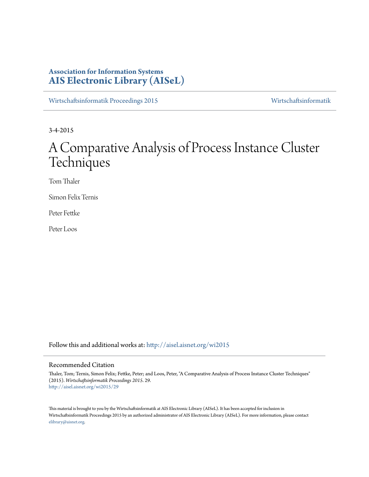# **Association for Information Systems [AIS Electronic Library \(AISeL\)](http://aisel.aisnet.org?utm_source=aisel.aisnet.org%2Fwi2015%2F29&utm_medium=PDF&utm_campaign=PDFCoverPages)**

[Wirtschaftsinformatik Proceedings 2015](http://aisel.aisnet.org/wi2015?utm_source=aisel.aisnet.org%2Fwi2015%2F29&utm_medium=PDF&utm_campaign=PDFCoverPages) [Wirtschaftsinformatik](http://aisel.aisnet.org/wi?utm_source=aisel.aisnet.org%2Fwi2015%2F29&utm_medium=PDF&utm_campaign=PDFCoverPages)

3-4-2015

# A Comparative Analysis of Process Instance Cluster **Techniques**

Tom Thaler

Simon Felix Ternis

Peter Fettke

Peter Loos

Follow this and additional works at: [http://aisel.aisnet.org/wi2015](http://aisel.aisnet.org/wi2015?utm_source=aisel.aisnet.org%2Fwi2015%2F29&utm_medium=PDF&utm_campaign=PDFCoverPages)

#### Recommended Citation

Thaler, Tom; Ternis, Simon Felix; Fettke, Peter; and Loos, Peter, "A Comparative Analysis of Process Instance Cluster Techniques" (2015). *Wirtschaftsinformatik Proceedings 2015*. 29. [http://aisel.aisnet.org/wi2015/29](http://aisel.aisnet.org/wi2015/29?utm_source=aisel.aisnet.org%2Fwi2015%2F29&utm_medium=PDF&utm_campaign=PDFCoverPages)

This material is brought to you by the Wirtschaftsinformatik at AIS Electronic Library (AISeL). It has been accepted for inclusion in Wirtschaftsinformatik Proceedings 2015 by an authorized administrator of AIS Electronic Library (AISeL). For more information, please contact [elibrary@aisnet.org.](mailto:elibrary@aisnet.org%3E)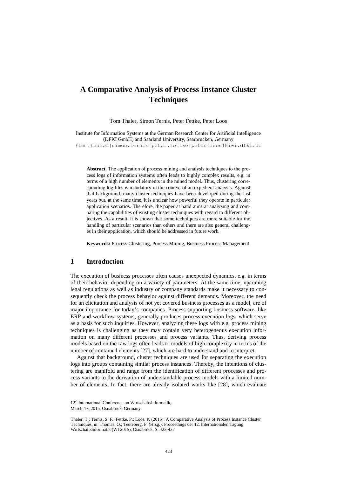# **A Comparative Analysis of Process Instance Cluster Techniques**

Tom Thaler, Simon Ternis, Peter Fettke, Peter Loos

Institute for Information Systems at the German Research Center for Artificial Intelligence (DFKI GmbH) and Saarland University, Saarbrücken, Germany {tom.thaler|simon.ternis|peter.fettke|peter.loos}@iwi.dfki.de

**Abstract.** The application of process mining and analysis techniques to the process logs of information systems often leads to highly complex results, e.g. in terms of a high number of elements in the mined model. Thus, clustering corresponding log files is mandatory in the context of an expedient analysis. Against that background, many cluster techniques have been developed during the last years but, at the same time, it is unclear how powerful they operate in particular application scenarios. Therefore, the paper at hand aims at analyzing and comparing the capabilities of existing cluster techniques with regard to different objectives. As a result, it is shown that some techniques are more suitable for the handling of particular scenarios than others and there are also general challenges in their application, which should be addressed in future work.

**Keywords:** Process Clustering, Process Mining, Business Process Management

## **1 Introduction**

The execution of business processes often causes unexpected dynamics, e.g. in terms of their behavior depending on a variety of parameters. At the same time, upcoming legal regulations as well as industry or company standards make it necessary to consequently check the process behavior against different demands. Moreover, the need for an elicitation and analysis of not yet covered business processes as a model, are of major importance for today's companies. Process-supporting business software, like ERP and workflow systems, generally produces process execution logs, which serve as a basis for such inquiries. However, analyzing these logs with e.g. process mining techniques is challenging as they may contain very heterogeneous execution information on many different processes and process variants. Thus, deriving process models based on the raw logs often leads to models of high complexity in terms of the number of contained elements [\[27\]](#page-15-0), which are hard to understand and to interpret.

Against that background, cluster techniques are used for separating the execution logs into groups containing similar process instances. Thereby, the intentions of clustering are manifold and range from the identification of different processes and process variants to the derivation of understandable process models with a limited number of elements. In fact, there are already isolated works like [\[28\]](#page-15-1), which evaluate

<sup>12&</sup>lt;sup>th</sup> International Conference on Wirtschaftsinformatik, March 4-6 2015, Osnabrück, Germany

Thaler, T.; Ternis, S. F.; Fettke, P.; Loos, P. (2015): A Comparative Analysis of Process Instance Cluster Techniques, in: Thomas. O.; Teuteberg, F. (Hrsg.): Proceedings der 12. Internationalen Tagung Wirtschaftsinformatik (WI 2015), Osnabrück, S. 423-437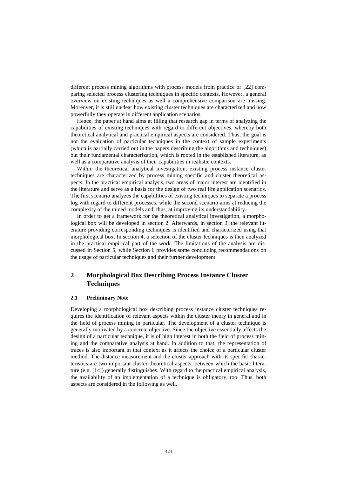different process mining algorithms with process models from practice or [\[22\]](#page-15-2) comparing selected process clustering techniques in specific contexts. However, a general overview on existing techniques as well a comprehensive comparison are missing. Moreover, it is still unclear how existing cluster techniques are characterized and how powerfully they operate in different application scenarios.

Hence, the paper at hand aims at filling that research gap in terms of analyzing the capabilities of existing techniques with regard to different objectives, whereby both theoretical analytical and practical empirical aspects are considered. Thus, the goal is not the evaluation of particular techniques in the context of sample experiments (which is partially carried out in the papers describing the algorithms and techniques) but their fundamental characterization, which is rooted in the established literature, as well as a comparative analysis of their capabilities in realistic contexts.

Within the theoretical analytical investigation, existing process instance cluster techniques are characterized by process mining specific and cluster theoretical aspects. In the practical empirical analysis, two areas of major interest are identified in the literature and serve as a basis for the design of two real life application scenarios. The first scenario analyzes the capabilities of existing techniques to separate a process log with regard to different processes, while the second scenario aims at reducing the complexity of the mined models and, thus, at improving its understandability.

In order to get a framework for the theoretical analytical investigation, a morphological box will be developed in section 2. Afterwards, in section 3, the relevant literature providing corresponding techniques is identified and characterized using that morphological box. In section 4, a selection of the cluster techniques is then analyzed in the practical empirical part of the work. The limitations of the analysis are discussed in Section 5, while Section 6 provides some concluding recommendations on the usage of particular techniques and their further development.

## **2 Morphological Box Describing Process Instance Cluster Techniques**

#### **2.1 Preliminary Note**

Developing a morphological box describing process instance cluster techniques requires the identification of relevant aspects within the cluster theory in general and in the field of process mining in particular. The development of a cluster technique is generally motivated by a concrete objective. Since the objective essentially affects the design of a particular technique, it is of high interest in both the field of process mining and the comparative analysis at hand. In addition to that, the representation of traces is also important in that context as it affects the choice of a particular cluster method. The distance measurement and the cluster approach with its specific characteristics are two important cluster-theoretical aspects, between which the basic literature (e.g. [\[14\]](#page-15-3)) generally distinguishes. With regard to the practical empirical analysis, the availability of an implementation of a technique is obligatory, too. Thus, both aspects are considered in the following as well.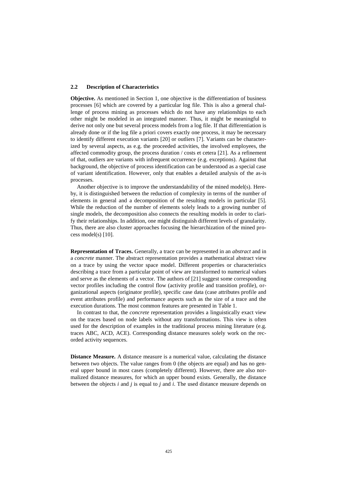#### **2.2 Description of Characteristics**

**Objective.** As mentioned in Section 1, one objective is the differentiation of business processes [\[6\]](#page-14-0) which are covered by a particular log file. This is also a general challenge of process mining as processes which do not have any relationships to each other might be modeled in an integrated manner. Thus, it might be meaningful to derive not only one but several process models from a log file. If that differentiation is already done or if the log file a priori covers exactly one process, it may be necessary to identify different execution variants [\[20\]](#page-15-4) or outliers [\[7\]](#page-14-1). Variants can be characterized by several aspects, as e.g. the proceeded activities, the involved employees, the affected commodity group, the process duration / costs et cetera [\[21\]](#page-15-5). As a refinement of that, outliers are variants with infrequent occurrence (e.g. exceptions). Against that background, the objective of process identification can be understood as a special case of variant identification. However, only that enables a detailed analysis of the as-is processes.

Another objective is to improve the understandability of the mined model(s). Hereby, it is distinguished between the reduction of complexity in terms of the number of elements in general and a decomposition of the resulting models in particular [\[5\]](#page-14-2). While the reduction of the number of elements solely leads to a growing number of single models, the decomposition also connects the resulting models in order to clarify their relationships. In addition, one might distinguish different levels of granularity. Thus, there are also cluster approaches focusing the hierarchization of the mined process model(s) [\[10\]](#page-14-3).

**Representation of Traces.** Generally, a trace can be represented in an *abstract* and in a *concrete* manner. The abstract representation provides a mathematical abstract view on a trace by using the vector space model. Different properties or characteristics describing a trace from a particular point of view are transformed to numerical values and serve as the elements of a vector. The authors of [\[21\]](#page-15-5) suggest some corresponding vector profiles including the control flow (activity profile and transition profile), organizational aspects (originator profile), specific case data (case attributes profile and event attributes profile) and performance aspects such as the size of a trace and the execution durations. The most common features are presented in [Table 1.](#page-4-0)

In contrast to that, the *concrete* representation provides a linguistically exact view on the traces based on node labels without any transformations. This view is often used for the description of examples in the traditional process mining literature (e.g. traces ABC, ACD, ACE). Corresponding distance measures solely work on the recorded activity sequences.

**Distance Measure.** A distance measure is a numerical value, calculating the distance between two objects. The value ranges from 0 (the objects are equal) and has no general upper bound in most cases (completely different). However, there are also normalized distance measures, for which an upper bound exists. Generally, the distance between the objects *i* and *j* is equal to *j* and *i*. The used distance measure depends on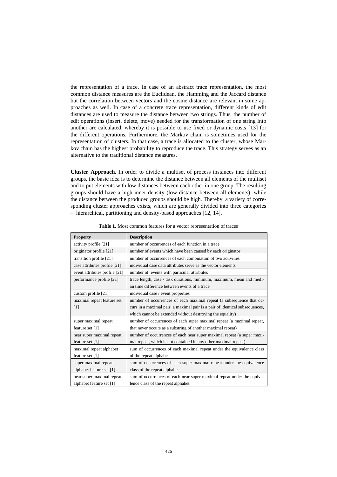the representation of a trace. In case of an abstract trace representation, the most common distance measures are the Euclidean, the Hamming and the Jaccard distance but the correlation between vectors and the cosine distance are relevant in some approaches as well. In case of a concrete trace representation, different kinds of edit distances are used to measure the distance between two strings. Thus, the number of edit operations (insert, delete, move) needed for the transformation of one string into another are calculated, whereby it is possible to use fixed or dynamic costs [\[13\]](#page-15-6) for the different operations. Furthermore, the Markov chain is sometimes used for the representation of clusters. In that case, a trace is allocated to the cluster, whose Markov chain has the highest probability to reproduce the trace. This strategy serves as an alternative to the traditional distance measures.

**Cluster Approach.** In order to divide a multiset of process instances into different groups, the basic idea is to determine the distance between all elements of the multiset and to put elements with low distances between each other in one group. The resulting groups should have a high inner density (low distance between all elements), while the distance between the produced groups should be high. Thereby, a variety of corresponding cluster approaches exists, which are generally divided into three categories – hierarchical, partitioning and density-based approaches [\[12,](#page-14-4) [14\]](#page-15-3).

<span id="page-4-0"></span>

| <b>Property</b>               | <b>Description</b>                                                          |  |  |  |  |  |  |  |
|-------------------------------|-----------------------------------------------------------------------------|--|--|--|--|--|--|--|
| activity profile [21]         | number of occurrences of each function in a trace                           |  |  |  |  |  |  |  |
| originator profile [21]       | number of events which have been caused by each originator                  |  |  |  |  |  |  |  |
| transition profile [21]       | number of occurrences of each combination of two activities                 |  |  |  |  |  |  |  |
| case attributes profile [21]  | individual case data attributes serve as the vector elements                |  |  |  |  |  |  |  |
| event attributes profile [21] | number of events with particular attributes                                 |  |  |  |  |  |  |  |
| performance profile [21]      | trace length, case / task durations, minimum, maximum, mean and medi-       |  |  |  |  |  |  |  |
|                               | an time difference between events of a trace                                |  |  |  |  |  |  |  |
| custom profile [21]           | individual case / event properties                                          |  |  |  |  |  |  |  |
| maximal repeat feature set    | number of occurrences of each maximal repeat (a subsequence that oc-        |  |  |  |  |  |  |  |
| [1]                           | curs in a maximal pair; a maximal pair is a pair of identical subsequences, |  |  |  |  |  |  |  |
|                               | which cannot be extended without destroying the equality)                   |  |  |  |  |  |  |  |
| super maximal repeat          | number of occurrences of each super maximal repeat (a maximal repeat,       |  |  |  |  |  |  |  |
| feature set [1]               | that never occurs as a substring of another maximal repeat)                 |  |  |  |  |  |  |  |
| near super maximal repeat     | number of occurrences of each near super maximal repeat (a super maxi-      |  |  |  |  |  |  |  |
| feature set [1]               | mal repeat, which is not contained in any other maximal repeat)             |  |  |  |  |  |  |  |
| maximal repeat alphabet       | sum of occurrences of each maximal repeat under the equivalence class       |  |  |  |  |  |  |  |
| feature set [1]               | of the repeat alphabet                                                      |  |  |  |  |  |  |  |
| super maximal repeat          | sum of occurrences of each super maximal repeat under the equivalence       |  |  |  |  |  |  |  |
| alphabet feature set [1]      | class of the repeat alphabet                                                |  |  |  |  |  |  |  |
| near super maximal repeat     | sum of occurrences of each near super maximal repeat under the equiva-      |  |  |  |  |  |  |  |
| alphabet feature set [1]      | lence class of the repeat alphabet                                          |  |  |  |  |  |  |  |

**Table 1.** Most common features for a vector representation of traces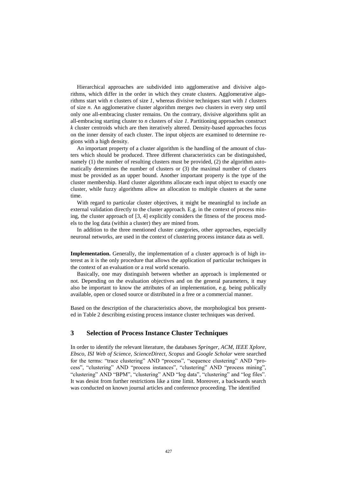Hierarchical approaches are subdivided into agglomerative and divisive algorithms, which differ in the order in which they create clusters. Agglomerative algorithms start with *n* clusters of size *1*, whereas divisive techniques start with *1* clusters of size *n*. An agglomerative cluster algorithm merges *two* clusters in every step until only one all-embracing cluster remains. On the contrary, divisive algorithms split an all-embracing starting cluster to *n* clusters of size *1*. Partitioning approaches construct *k* cluster centroids which are then iteratively altered. Density-based approaches focus on the inner density of each cluster. The input objects are examined to determine regions with a high density.

An important property of a cluster algorithm is the handling of the amount of clusters which should be produced. Three different characteristics can be distinguished, namely (1) the number of resulting clusters must be provided, (2) the algorithm automatically determines the number of clusters or (3) the maximal number of clusters must be provided as an upper bound. Another important property is the type of the cluster membership. Hard cluster algorithms allocate each input object to exactly one cluster, while fuzzy algorithms allow an allocation to multiple clusters at the same time.

With regard to particular cluster objectives, it might be meaningful to include an external validation directly to the cluster approach. E.g. in the context of process mining, the cluster approach of [\[3,](#page-14-6) [4\]](#page-14-7) explicitly considers the fitness of the process models to the log data (within a cluster) they are mined from.

In addition to the three mentioned cluster categories, other approaches, especially neuronal networks, are used in the context of clustering process instance data as well.

**Implementation.** Generally, the implementation of a cluster approach is of high interest as it is the only procedure that allows the application of particular techniques in the context of an evaluation or a real world scenario.

Basically, one may distinguish between whether an approach is implemented or not. Depending on the evaluation objectives and on the general parameters, it may also be important to know the attributes of an implementation, e.g. being publically available, open or closed source or distributed in a free or a commercial manner.

Based on the description of the characteristics above, the morphological box presented in [Table 2](#page-6-0) describing existing process instance cluster techniques was derived.

## **3 Selection of Process Instance Cluster Techniques**

In order to identify the relevant literature, the databases *Springer, ACM, IEEE Xplore, Ebsco, ISI Web of Science, ScienceDirect, Scopus* and *Google Scholar* were searched for the terms: "trace clustering" AND "process", "sequence clustering" AND "process", "clustering" AND "process instances", "clustering" AND "process mining", "clustering" AND "BPM", "clustering" AND "log data", "clustering" and "log files". It was desist from further restrictions like a time limit. Moreover, a backwards search was conducted on known journal articles and conference proceeding. The identified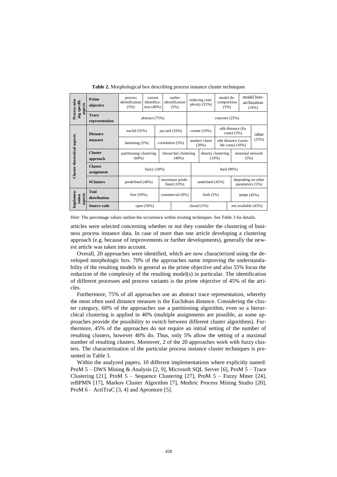<span id="page-6-0"></span>

| Process min-<br>ing specific<br>aspects | Prime<br>objective             | process<br>identification<br>(5%)   | variant<br>identifica-<br>tion (40%) |                                  | outlier<br>identification<br>(5%) | reducing com-<br>plexity (55%) |                                              | model de-<br>composition<br>(5%) |                                       |            | model hier-<br>archization<br>$(10\%)$ |
|-----------------------------------------|--------------------------------|-------------------------------------|--------------------------------------|----------------------------------|-----------------------------------|--------------------------------|----------------------------------------------|----------------------------------|---------------------------------------|------------|----------------------------------------|
|                                         | <b>Trace</b><br>representation |                                     | abstract (75%)                       |                                  |                                   | concrete $(25%)$               |                                              |                                  |                                       |            |                                        |
|                                         | <b>Distance</b>                | euclid $(55%)$                      |                                      |                                  | jaccard $(10\%)$                  | cosine $(10\%)$                |                                              | edit distance (fix<br>costs(5%)  |                                       |            |                                        |
|                                         | measure                        | hamming $(5%)$                      | correlation (5%)                     |                                  | markov chain<br>(20%)             |                                | edit distance (varia-<br>ble costs) $(10\%)$ |                                  |                                       | (25%)      |                                        |
| Cluster-theoretical aspects             | <b>Cluster</b><br>approach     | partitioning clustering<br>$(60\%)$ |                                      |                                  | hierarchal clustering<br>$(40\%)$ | density clustering<br>$(10\%)$ |                                              |                                  | neuronal network<br>(5%)              |            |                                        |
|                                         | <b>Cluster</b><br>assignment   |                                     | fuzzy $(10\%)$                       |                                  |                                   | hard (90%)                     |                                              |                                  |                                       |            |                                        |
|                                         | #Clusters                      | predefined (40%)                    |                                      | maximum prede-<br>fined $(10\%)$ |                                   |                                | undefined (45%)                              |                                  | depending on other<br>parameters (5%) |            |                                        |
| Implemen-<br>aspects<br>tation          | <b>Tool</b><br>distribution    | free $(50\%)$                       |                                      |                                  | commercial (0%)                   |                                | both $(5%)$                                  |                                  |                                       | none (45%) |                                        |
|                                         | Source code                    |                                     | open $(50\%)$                        |                                  |                                   | closed $(5%)$                  |                                              |                                  | not available (45%)                   |            |                                        |

**Table 2.** Morphological box describing process instance cluster techniques

*Hint:* The percentage values outline the occurrence within existing techniques. See Table 3 for details.

articles were selected concerning whether or not they consider the clustering of business process instance data. In case of more than one article developing a clustering approach (e.g. because of improvements or further developments), generally the newest article was taken into account.

Overall, 20 approaches were identified, which are now characterized using the developed morphologic box. 70% of the approaches name improving the understandability of the resulting models in general as the prime objective and also 55% focus the reduction of the complexity of the resulting model(s) in particular. The identification of different processes and process variants is the prime objective of 45% of the articles.

Furthermore, 75% of all approaches use an abstract trace representation, whereby the most often used distance measure is the Euclidean distance. Considering the cluster category, 60% of the approaches use a partitioning algorithm, even so a hierarchical clustering is applied in 40% (multiple assignments are possible, as some approaches provide the possibility to switch between different cluster algorithms). Furthermore, 45% of the approaches do not require an initial setting of the number of resulting clusters, however 40% do. Thus, only 5% allow the setting of a maximal number of resulting clusters. Moreover, 2 of the 20 approaches work with fuzzy clusters. The characterization of the particular process instance cluster techniques is presented in [Table 3.](#page-7-0)

Within the analyzed papers, 10 different implementations where explicitly named: ProM 5 – DWS Mining & Analysis [\[2,](#page-14-8) [9\]](#page-14-9), Microsoft SQL Server [\[6\]](#page-14-0), ProM 5 – Trace Clustering [\[21\]](#page-15-5), ProM 5 – Sequence Clustering [\[27\]](#page-15-0), ProM 5 – Fuzzy Miner [\[24\]](#page-15-7), reBPMN [\[17\]](#page-15-8), Markov Cluster Algorithm [\[7\]](#page-14-1), Medtric Process Mining Studio [\[20\]](#page-15-4), ProM 6 – ActiTraC [\[3,](#page-14-6) [4\]](#page-14-7) and Apromore [\[5\]](#page-14-2).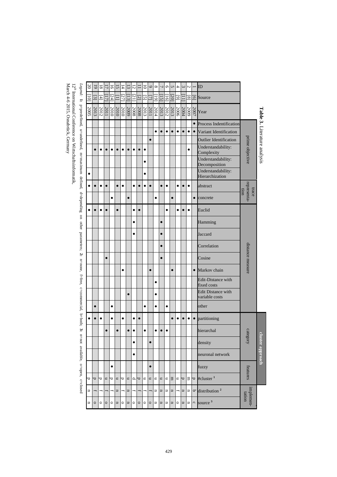| $\infty$       | 5         | ವ         | $\overline{\phantom{0}}$ | $\overline{\circ}$       | ū                       | $\overline{4}$ | ದ                       | 5               |                | 5                                             | $\circ$   | $^{\circ}$     |                 | G                        |                         | 4                  | ε                       | N                        |           | ID                                                  |                              |                                     |
|----------------|-----------|-----------|--------------------------|--------------------------|-------------------------|----------------|-------------------------|-----------------|----------------|-----------------------------------------------|-----------|----------------|-----------------|--------------------------|-------------------------|--------------------|-------------------------|--------------------------|-----------|-----------------------------------------------------|------------------------------|-------------------------------------|
| Ξ              | $\Xi$     | $\pm$     | $\overline{11}$          | [24]                     | Ξ                       | [27]           | $\Xi$                   | $\overline{21}$ | $\overline{2}$ | ज                                             | ↴         | $\overline{5}$ | $\overline{15}$ | ٦e                       | $\overline{20}$         | $\overline{\circ}$ |                         | ∞                        | <u>ල</u>  | Source                                              |                              |                                     |
| 2005           | 2013      |           | 2011<br>2012             |                          | $\frac{2010}{2010}$     | 2010           |                         |                 |                | $\frac{\frac{2012}{2008}}{\frac{2008}{2009}}$ | 2011      | 2014           |                 |                          | $\frac{2013}{2012}$     |                    | 2004                    | 2007                     |           | Year                                                |                              | <b>Table 3.</b> Literature analysis |
|                |           |           |                          |                          |                         |                |                         |                 |                |                                               |           |                |                 |                          |                         |                    |                         |                          |           | • Process Indentification                           |                              |                                     |
|                |           |           |                          |                          |                         |                |                         |                 |                |                                               |           | $\bullet$      | $\bullet$       | $\bullet$                | $\bullet$               | $\bullet$          | $\bullet$               | $\bullet$                | $\bullet$ | Variant Identification                              |                              |                                     |
|                |           |           |                          |                          |                         |                |                         |                 |                |                                               | $\bullet$ |                |                 |                          |                         |                    |                         |                          |           | <b>Outlier Identification</b>                       |                              |                                     |
|                | $\bullet$ | $\bullet$ | $\bullet$                | $\bullet$                |                         |                | $\bullet$               |                 | $\bullet$      | $\bullet$                                     |           |                |                 |                          |                         |                    |                         | $\bullet$                |           | Understandability:<br>Complexity                    | prime objective              |                                     |
|                |           |           |                          |                          |                         |                |                         |                 |                | $\bullet$                                     |           |                |                 |                          |                         |                    |                         |                          |           | Understandability:<br>Decomposition                 |                              |                                     |
|                |           |           |                          |                          |                         |                |                         |                 |                | $\bullet$                                     |           |                |                 |                          |                         |                    |                         |                          |           | Understandability:<br>Hierarchization               |                              |                                     |
| ٠              |           | $\bullet$ | $\bullet$                |                          | $\bullet$               | $\bullet$      |                         | $\bullet$       | $\bullet$      | $\bullet$                                     |           |                | $\bullet$       | $\bullet$                |                         | $\bullet$          | $\bullet$               | $\bullet$                |           | abstract                                            |                              |                                     |
|                |           |           |                          | $\bullet$                |                         |                | $\bullet$               |                 |                |                                               |           | $\bullet$      |                 |                          | $\bullet$               |                    |                         |                          |           | $\bullet$ concrete                                  | representa-<br>trace<br>tion |                                     |
| $\bullet$      | $\bullet$ | $\bullet$ | $\bullet$                |                          | $\bullet$               |                |                         |                 | $\bullet$      |                                               |           |                |                 | $\bullet$                |                         | $\bullet$          | $\bullet$               | $\bullet$                |           | Euclid                                              |                              |                                     |
|                |           |           |                          |                          |                         |                |                         | $\bullet$       |                |                                               |           |                | $\bullet$       |                          |                         |                    |                         |                          |           | Hamming                                             |                              |                                     |
|                |           |           |                          |                          |                         |                |                         | $\bullet$       |                |                                               |           |                | $\bullet$       |                          |                         |                    |                         |                          |           | Jaccard                                             |                              |                                     |
|                |           |           |                          |                          |                         |                |                         |                 |                |                                               |           |                | $\bullet$       |                          |                         |                    |                         |                          |           | Correlation                                         |                              |                                     |
|                |           |           | $\bullet$                |                          |                         |                |                         |                 |                |                                               |           |                | $\bullet$       |                          |                         |                    |                         |                          |           | Cosine                                              | distance measure             |                                     |
|                |           |           |                          |                          |                         | $\bullet$      |                         |                 |                |                                               | $\bullet$ |                |                 |                          |                         |                    |                         |                          | $\bullet$ | Markov chain                                        |                              |                                     |
|                |           |           |                          |                          |                         |                |                         |                 |                |                                               |           | $\bullet$      |                 |                          |                         |                    |                         |                          |           | <b>Edit-Distance with</b><br>fixed costs            |                              |                                     |
|                |           |           |                          |                          |                         |                | $\bullet$               |                 |                |                                               |           | $\bullet$      |                 |                          |                         |                    |                         |                          |           | <b>Edit Distance with</b><br>variable costs         |                              |                                     |
|                | $\bullet$ |           |                          | $\bullet$                |                         |                |                         |                 |                | $\bullet$                                     |           | $\bullet$      |                 | $\bullet$                |                         |                    |                         |                          |           | other                                               |                              |                                     |
|                | $\bullet$ | $\bullet$ |                          | $\bullet$                |                         | $\bullet$      |                         |                 | $\bullet$      |                                               |           |                |                 |                          |                         | $\bullet$          | $\bullet$               | $\bullet$                |           | • partitioning                                      |                              |                                     |
|                |           |           | $\bullet$                |                          | $\bullet$               |                | $\bullet$               | $\bullet$       |                | $\bullet$                                     |           | $\bullet$      | $\bullet$       | $\bullet$                |                         |                    |                         |                          |           | hierarchal                                          | ca                           |                                     |
|                |           |           |                          |                          |                         |                |                         | $\bullet$       |                |                                               | $\bullet$ |                |                 |                          |                         |                    |                         |                          |           | density                                             | <b>utegory</b>               |                                     |
|                |           |           |                          |                          |                         |                |                         | $\bullet$       |                |                                               |           |                |                 |                          |                         |                    |                         |                          |           | neuronal network                                    |                              | <b>cluster approach</b>             |
|                |           |           |                          | $\bullet$                |                         |                |                         |                 |                |                                               | $\bullet$ |                |                 |                          |                         |                    |                         |                          |           | fuzzy                                               | features                     |                                     |
| d              | d         | Þ         | $\overline{a}$           | ≂                        | $\blacksquare$          | P              | $\blacksquare$          | P               | p              | $\equiv$                                      | n         | $\mathbf{u}$   | $\mathbf{u}$    | $\blacksquare$           | $\Xi$                   | $=$ $\overline{a}$ |                         |                          |           | $\overline{z}$ $\overline{z}$ #cluster <sup>1</sup> |                              |                                     |
| $\overline{u}$ | Į         |           | $-1 -$                   | $\overline{\phantom{a}}$ | $\Xi$                   | Ŧ              | $\overline{\mathbf{u}}$ |                 | Ŧ              | ₼                                             | Ŧ         | u              | $\Xi$           | $\overline{\phantom{a}}$ | $\Xi$                   | – ∣⊐               |                         | u                        |           | $\sigma$ distribution <sup>2</sup>                  | implemen-<br>tation          |                                     |
| u              | $\circ$   | $\circ$   | $\circ$                  | $\circ$                  | $\overline{\mathbf{u}}$ | $\circ$        | $\overline{\mathbf{u}}$ | $\circ$         | $\circ$        | $\circ$                                       | $\circ$   | u              | IJ              | $\overline{\phantom{a}}$ | $\overline{\mathbf{u}}$ | $\circ$            | $\overline{\mathbf{u}}$ | $\overline{\phantom{a}}$ |           | $\circ$ source $3$                                  |                              |                                     |

 $12^{\text{th}}$ International Conference on Wirtschaftsinformatik, March

*Legend:* **1:**

p=predefined, u=undefined, m=maximum defined, d=depending on other parameters;

<span id="page-7-0"></span>**2:**

n=none, f=free, c=commercial, b=both;

**3:**

n=not available, o=open, c=closed

4-6 2015, Osnabrück, Germany

429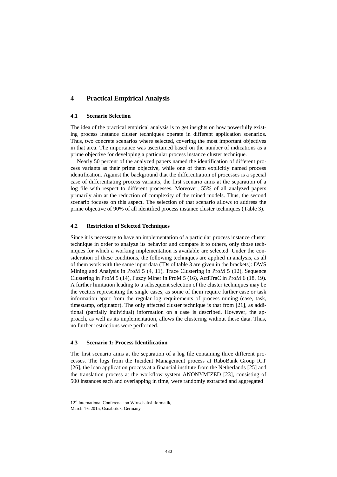## **4 Practical Empirical Analysis**

#### **4.1 Scenario Selection**

The idea of the practical empirical analysis is to get insights on how powerfully existing process instance cluster techniques operate in different application scenarios. Thus, two concrete scenarios where selected, covering the most important objectives in that area. The importance was ascertained based on the number of indications as a prime objective for developing a particular process instance cluster technique.

Nearly 50 percent of the analyzed papers named the identification of different process variants as their prime objective, while one of them explicitly named process identification. Against the background that the differentiation of processes is a special case of differentiating process variants, the first scenario aims at the separation of a log file with respect to different processes. Moreover, 55% of all analyzed papers primarily aim at the reduction of complexity of the mined models. Thus, the second scenario focuses on this aspect. The selection of that scenario allows to address the prime objective of 90% of all identified process instance cluster techniques (Table 3).

#### **4.2 Restriction of Selected Techniques**

Since it is necessary to have an implementation of a particular process instance cluster technique in order to analyze its behavior and compare it to others, only those techniques for which a working implementation is available are selected. Under the consideration of these conditions, the following techniques are applied in analysis, as all of them work with the same input data (IDs of table 3 are given in the brackets): DWS Mining and Analysis in ProM 5 (4, 11), Trace Clustering in ProM 5 (12), Sequence Clustering in ProM 5 (14), Fuzzy Miner in ProM 5 (16), ActiTraC in ProM 6 (18, 19). A further limitation leading to a subsequent selection of the cluster techniques may be the vectors representing the single cases, as some of them require further case or task information apart from the regular log requirements of process mining (case, task, timestamp, originator). The only affected cluster technique is that from [\[21\]](#page-15-5), as additional (partially individual) information on a case is described. However, the approach, as well as its implementation, allows the clustering without these data. Thus, no further restrictions were performed.

#### **4.3 Scenario 1: Process Identification**

The first scenario aims at the separation of a log file containing three different processes. The logs from the Incident Management process at RaboBank Group ICT [\[26\]](#page-15-9), the loan application process at a financial institute from the Netherlands [\[25\]](#page-15-10) and the translation process at the workflow system ANONYMIZED [\[23\]](#page-15-11), consisting of 500 instances each and overlapping in time, were randomly extracted and aggregated

<sup>12&</sup>lt;sup>th</sup> International Conference on Wirtschaftsinformatik

March 4-6 2015, Osnabrück, Germany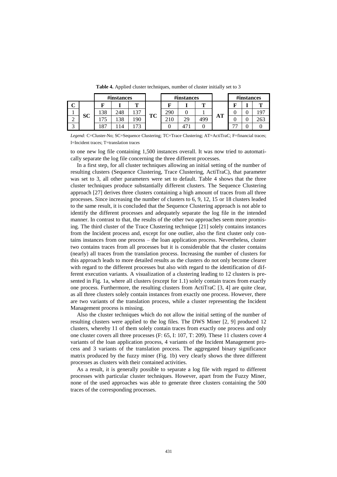<span id="page-9-0"></span>

|   |           |     | #instances           |     |    |     | #instances |     |           |                          | #instances |     |
|---|-----------|-----|----------------------|-----|----|-----|------------|-----|-----------|--------------------------|------------|-----|
| ັ |           |     |                      |     |    |     |            | m   | <b>AT</b> |                          |            | m   |
|   |           | 138 | 248                  | 137 | TC | 290 |            |     |           |                          |            | 97  |
| ∼ | <b>SC</b> | J   | 38                   | .90 |    |     | 29         | 499 |           |                          |            | 263 |
|   |           |     | $\overline{\Lambda}$ | רה  |    |     |            |     |           | $\overline{\phantom{a}}$ |            |     |

**Table 4.** Applied cluster techniques, number of cluster initially set to 3

*Legend:* C=Cluster-No; SC=Sequence Clustering; TC=Trace Clustering; AT=ActiTraC; F=financial traces; I=Incident traces; T=translation traces

to one new log file containing 1,500 instances overall. It was now tried to automatically separate the log file concerning the three different processes.

In a first step, for all cluster techniques allowing an initial setting of the number of resulting clusters (Sequence Clustering, Trace Clustering, ActiTraC), that parameter was set to 3, all other parameters were set to default. [Table 4](#page-9-0) shows that the three cluster techniques produce substantially different clusters. The Sequence Clustering approach [\[27\]](#page-15-0) derives three clusters containing a high amount of traces from all three processes. Since increasing the number of clusters to 6, 9, 12, 15 or 18 clusters leaded to the same result, it is concluded that the Sequence Clustering approach is not able to identify the different processes and adequately separate the log file in the intended manner. In contrast to that, the results of the other two approaches seem more promising. The third cluster of the Trace Clustering technique [\[21\]](#page-15-5) solely contains instances from the Incident process and, except for one outlier, also the first cluster only contains instances from one process – the loan application process. Nevertheless, cluster two contains traces from all processes but it is considerable that the cluster contains (nearly) all traces from the translation process. Increasing the number of clusters for this approach leads to more detailed results as the clusters do not only become clearer with regard to the different processes but also with regard to the identification of different execution variants. A visualization of a clustering leading to 12 clusters is presented in [Fig. 1a](#page-10-0), where all clusters (except for 1.1) solely contain traces from exactly one process. Furthermore, the resulting clusters from ActiTraC [\[3,](#page-14-6) [4\]](#page-14-7) are quite clear, as all three clusters solely contain instances from exactly one process. However, there are two variants of the translation process, while a cluster representing the Incident Management process is missing.

Also the cluster techniques which do not allow the initial setting of the number of resulting clusters were applied to the log files. The DWS Miner [\[2,](#page-14-8) [9\]](#page-14-9) produced 12 clusters, whereby 11 of them solely contain traces from exactly one process and only one cluster covers all three processes (F: 65, I: 107, T: 209). These 11 clusters cover 4 variants of the loan application process, 4 variants of the Incident Management process and 3 variants of the translation process. The aggregated binary significance matrix produced by the fuzzy miner [\(Fig. 1b](#page-10-0)) very clearly shows the three different processes as clusters with their contained activities.

As a result, it is generally possible to separate a log file with regard to different processes with particular cluster techniques. However, apart from the Fuzzy Miner, none of the used approaches was able to generate three clusters containing the 500 traces of the corresponding processes.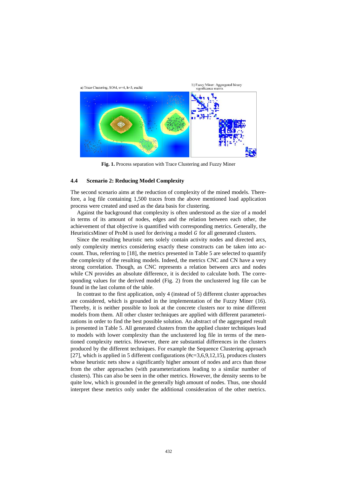

**Fig. 1.** Process separation with Trace Clustering and Fuzzy Miner

#### <span id="page-10-0"></span>**4.4 Scenario 2: Reducing Model Complexity**

The second scenario aims at the reduction of complexity of the mined models. Therefore, a log file containing 1,500 traces from the above mentioned load application process were created and used as the data basis for clustering.

Against the background that complexity is often understood as the size of a model in terms of its amount of nodes, edges and the relation between each other, the achievement of that objective is quantified with corresponding metrics. Generally, the HeuristicsMiner of ProM is used for deriving a model  $G$  for all generated clusters.

Since the resulting heuristic nets solely contain activity nodes and directed arcs, only complexity metrics considering exactly these constructs can be taken into account. Thus, referring to [\[18\]](#page-15-12), the metrics presented in Table 5 are selected to quantify the complexity of the resulting models. Indeed, the metrics CNC and CN have a very strong correlation. Though, as CNC represents a relation between arcs and nodes while CN provides an absolute difference, it is decided to calculate both. The corresponding values for the derived model [\(Fig. 2\)](#page-12-0) from the unclustered log file can be found in the last column of the table.

In contrast to the first application, only 4 (instead of 5) different cluster approaches are considered, which is grounded in the implementation of the Fuzzy Miner (16). Thereby, it is neither possible to look at the concrete clusters nor to mine different models from them. All other cluster techniques are applied with different parameterizations in order to find the best possible solution. An abstract of the aggregated result is presented in Table 5. All generated clusters from the applied cluster techniques lead to models with lower complexity than the unclustered log file in terms of the mentioned complexity metrics. However, there are substantial differences in the clusters produced by the different techniques. For example the Sequence Clustering approach [\[27\]](#page-15-0), which is applied in 5 different configurations (#c=3,6,9,12,15), produces clusters whose heuristic nets show a significantly higher amount of nodes and arcs than those from the other approaches (with parameterizations leading to a similar number of clusters). This can also be seen in the other metrics. However, the density seems to be quite low, which is grounded in the generally high amount of nodes. Thus, one should interpret these metrics only under the additional consideration of the other metrics.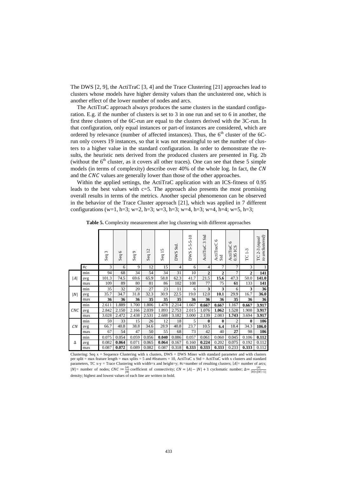The DWS [\[2,](#page-14-8) [9\]](#page-14-9), the ActiTraC [\[3,](#page-14-6) [4\]](#page-14-7) and the Trace Clustering [\[21\]](#page-15-5) approaches lead to clusters whose models have higher density values than the unclustered one, which is another effect of the lower number of nodes and arcs.

The ActiTraC approach always produces the same clusters in the standard configuration. E.g. if the number of clusters is set to 3 in one run and set to 6 in another, the first three clusters of the 6C-run are equal to the clusters derived with the 3C-run. In that configuration, only equal instances or part-of instances are considered, which are ordered by relevance (number of affected instances). Thus, the  $6<sup>th</sup>$  cluster of the  $6C$ run only covers 19 instances, so that it was not meaningful to set the number of clusters to a higher value in the standard configuration. In order to demonstrate the results, the heuristic nets derived from the produced clusters are presented in Fig. 2b (without the  $6<sup>th</sup>$  cluster, as it covers all other traces). One can see that these 5 simple models (in terms of complexity) describe over 40% of the whole log. In fact, the CN and the  $CNC$  values are generally lower than those of the other approaches.

Within the applied settings, the ActiTraC application with an ICS-fitness of 0.95 leads to the best values with  $c=5$ . The approach also presents the most promising overall results in terms of the metrics. Another special phenomenon can be observed in the behavior of the Trace Cluster approach [\[21\]](#page-15-5), which was applied in 7 different configurations (w=1, h=3; w=2, h=3; w=3, h=3; w=4, h=3; w=4, h=4; w=5, h=3;

|     |                | $\epsilon$<br>Seq | $\circ$<br>Seq | $\circ$<br>Seq | Seq 12 | 5<br>Seq $1$ : | DWS Std        | $5 - 5 - 5 - 10$<br><b>DWS</b> | Std<br>3<br>ActiTraC | $\circ$<br>ActiTracC<br>Std | $\circ$<br>ActiTraC<br>0.95 ICS | ကု<br>÷<br>FC | to unclustered)<br>(equal<br>$2 - 3$<br>PC |
|-----|----------------|-------------------|----------------|----------------|--------|----------------|----------------|--------------------------------|----------------------|-----------------------------|---------------------------------|---------------|--------------------------------------------|
|     | $\#\mathrm{c}$ | 3                 | 6              | 9              | 12     | 15             | $\overline{4}$ | 6                              | 4                    | 7                           | $\overline{7}$                  | 3             | 1                                          |
|     | min            | 94                | 68             | 34             | 54     | 34             | 31             | 10                             | $\overline{2}$       | $\boldsymbol{2}$            | $\overline{7}$                  | $\mathbf{2}$  | 141                                        |
| A   | avg            | 101.3             | 74.5           | 69.6           | 65.9   | 58.8           | 62.3           | 41.7                           | 21.5                 | 15.6                        | 47.3                            | 50.0          | 141.0                                      |
|     | max            | 109               | 89             | 80             | 81     | 86             | 102            | 108                            | 77                   | 75                          | 61                              | 133           | 141                                        |
|     | min            | 35                | 32             | 20             | 27     | 23             | 11             | 6                              | 3                    | 3                           | 6                               | 3             | 36                                         |
| N   | avg            | 35.7              | 34.7           | 31.8           | 32.3   | 30.9           | 22.5           | 19.0                           | 12.0                 | 10.1                        | 29.9                            | 16.7          | 36.0                                       |
|     | max            | 36                | 36             | 36             | 35     | 35             | 35             | 36                             | 36                   | 36                          | 35                              | 36            | 36                                         |
|     | min            | 2.611             | 1.889          | 1.700          | 1.806  | 1.478          | 2.214          | 1.667                          | 0.667                | 0.667                       | 1.167                           | 0.667         | 3.917                                      |
| CNC | avg            | 2.842             | 2.150          | 2.166          | 2.039  | 1.893          | 2.753          | 2.015                          | 1.076                | 1.062                       | 1.528                           | 1.908         | 3.917                                      |
|     | max            | 3.028             | 2.472          | 2.438          | 2.531  | 2.688          | 3.182          | 3.000                          | 2.139                | 2.083                       | 1.743                           | 3.694         | 3.917                                      |
|     | min            | 59                | 33             | 15             | 26     | 12             | 18             | 5                              | $\bf{0}$             | $\bf{0}$                    | $\overline{2}$                  | $\bf{0}$      | 106                                        |
| CN  | avg            | 66.7              | 40.8           | 38.8           | 34.6   | 28.9           | 40.8           | 23.7                           | 10.5                 | 6.4                         | 18.4                            | 34.3          | 106.0                                      |
|     | max            | 67                | 54             | 47             | 50     | 55             | 68             | 73                             | 42                   | 40                          | 27                              | 98            | 106                                        |
|     | min            | 0.075             | 0.054          | 0.059          | 0.056  | 0.040          | 0.086          | 0.057                          | 0.061                | 0.060                       | 0.045                           | 0.106         | 0.112                                      |
| Δ   | avg            | 0.082             | 0.064          | 0.071          | 0.065  | 0.064          | 0.167          | 0.160                          | 0.224                | 0.202                       | 0.075                           | 0.192         | 0.112                                      |
|     | max            | 0.087             | 0.072          | 0.089          | 0.082  | 0.087          | 0.318          | 0.333                          | 0.333                | 0.333                       | 0.233                           | 0.333         | 0.112                                      |

**Table 5.** Complexity measurement after log clustering with different approaches

Clustering: Seq  $x =$  Sequence Clustering with x clusters, DWS = DWS Miner with standard parameter and with clusters per split = max feature length = max splits = 5 and #features = 10, ActiTraC x Std = ActiTraC with x clusters and standard parameters, TC x-y = Trace Clustering with width=x and height=y; #c=number of resulting clusters;  $|A|$ = number of arcs; | $|N|$  = number of nodes;  $CNC := \frac{|A|}{|N|}$  coefficient of connectivity;  $CN = |A| - |N| + 1$  cyclomatic number;  $\Delta := \frac{|A|}{|N| \cdot (|N| - 1)}$ <br>density; highest and lowest values of each line are written in bold.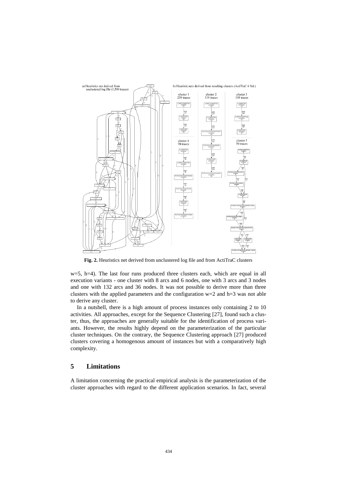

<span id="page-12-0"></span>**Fig. 2.** Heuristics net derived from unclustered log file and from ActiTraC clusters

 $w=5$ , h $=4$ ). The last four runs produced three clusters each, which are equal in all execution variants - one cluster with 8 arcs and 6 nodes, one with 3 arcs and 3 nodes and one with 132 arcs and 36 nodes. It was not possible to derive more than three clusters with the applied parameters and the configuration  $w=2$  and h=3 was not able to derive any cluster.

In a nutshell, there is a high amount of process instances only containing 2 to 10 activities. All approaches, except for the Sequence Clustering [\[27\]](#page-15-0), found such a cluster, thus, the approaches are generally suitable for the identification of process variants. However, the results highly depend on the parameterization of the particular cluster techniques. On the contrary, the Sequence Clustering approach [\[27\]](#page-15-0) produced clusters covering a homogenous amount of instances but with a comparatively high complexity.

## **5 Limitations**

A limitation concerning the practical empirical analysis is the parameterization of the cluster approaches with regard to the different application scenarios. In fact, several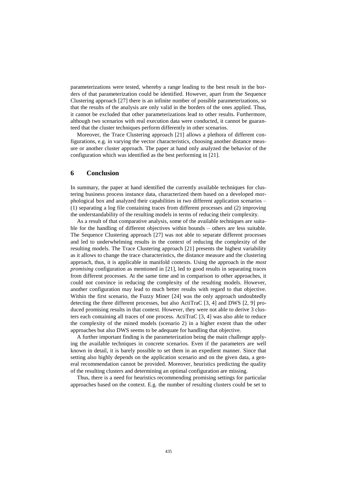parameterizations were tested, whereby a range leading to the best result in the borders of that parameterization could be identified. However, apart from the Sequence Clustering approach [\[27\]](#page-15-0) there is an infinite number of possible parameterizations, so that the results of the analysis are only valid in the borders of the ones applied. Thus, it cannot be excluded that other parameterizations lead to other results. Furthermore, although two scenarios with real execution data were conducted, it cannot be guaranteed that the cluster techniques perform differently in other scenarios.

Moreover, the Trace Clustering approach [\[21\]](#page-15-5) allows a plethora of different configurations, e.g. in varying the vector characteristics, choosing another distance measure or another cluster approach. The paper at hand only analyzed the behavior of the configuration which was identified as the best performing in [\[21\]](#page-15-5).

#### **6 Conclusion**

In summary, the paper at hand identified the currently available techniques for clustering business process instance data, characterized them based on a developed morphological box and analyzed their capabilities in two different application scenarios – (1) separating a log file containing traces from different processes and (2) improving the understandability of the resulting models in terms of reducing their complexity.

As a result of that comparative analysis, some of the available techniques are suitable for the handling of different objectives within bounds – others are less suitable. The Sequence Clustering approach [\[27\]](#page-15-0) was not able to separate different processes and led to underwhelming results in the context of reducing the complexity of the resulting models. The Trace Clustering approach [\[21\]](#page-15-5) presents the highest variability as it allows to change the trace characteristics, the distance measure and the clustering approach, thus, it is applicable in manifold contexts. Using the approach in the *most promising* configuration as mentioned in [\[21\]](#page-15-5), led to good results in separating traces from different processes. At the same time and in comparison to other approaches, it could not convince in reducing the complexity of the resulting models. However, another configuration may lead to much better results with regard to that objective. Within the first scenario, the Fuzzy Miner [\[24\]](#page-15-7) was the only approach undoubtedly detecting the three different processes, but also ActiTraC [\[3,](#page-14-6) [4\]](#page-14-7) and DWS [\[2,](#page-14-8) [9\]](#page-14-9) produced promising results in that context. However, they were not able to derive 3 clusters each containing all traces of one process. ActiTraC [\[3,](#page-14-6) [4\]](#page-14-7) was also able to reduce the complexity of the mined models (scenario 2) in a higher extent than the other approaches but also DWS seems to be adequate for handling that objective.

A further important finding is the parameterization being the main challenge applying the available techniques in concrete scenarios. Even if the parameters are well known in detail, it is barely possible to set them in an expedient manner. Since that setting also highly depends on the application scenario and on the given data, a general recommendation cannot be provided. Moreover, heuristics predicting the quality of the resulting clusters and determining an optimal configuration are missing.

Thus, there is a need for heuristics recommending promising settings for particular approaches based on the context. E.g. the number of resulting clusters could be set to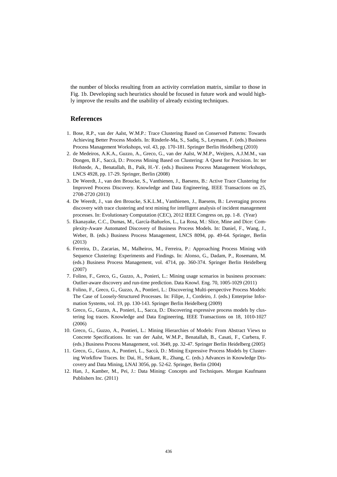the number of blocks resulting from an activity correlation matrix, similar to those in [Fig. 1b](#page-10-0). Developing such heuristics should be focused in future work and would highly improve the results and the usability of already existing techniques.

## **References**

- <span id="page-14-5"></span>1. Bose, R.P., van der Aalst, W.M.P.: Trace Clustering Based on Conserved Patterns: Towards Achieving Better Process Models. In: Rinderle-Ma, S., Sadiq, S., Leymann, F. (eds.) Business Process Management Workshops, vol. 43, pp. 170-181. Springer Berlin Heidelberg (2010)
- <span id="page-14-8"></span>2. de Medeiros, A.K.A., Guzzo, A., Greco, G., van der Aalst, W.M.P., Weijters, A.J.M.M., van Dongen, B.F., Saccà, D.: Process Mining Based on Clustering: A Quest for Precision. In: ter Hofstede, A., Benatallah, B., Paik, H.-Y. (eds.) Business Process Management Workshops, LNCS 4928, pp. 17-29. Springer, Berlin (2008)
- <span id="page-14-6"></span>3. De Weerdt, J., van den Broucke, S., Vanthienen, J., Baesens, B.: Active Trace Clustering for Improved Process Discovery. Knowledge and Data Engineering, IEEE Transactions on 25, 2708-2720 (2013)
- <span id="page-14-7"></span>4. De Weerdt, J., van den Broucke, S.K.L.M., Vanthienen, J., Baesens, B.: Leveraging process discovery with trace clustering and text mining for intelligent analysis of incident management processes. In: Evolutionary Computation (CEC), 2012 IEEE Congress on, pp. 1-8. (Year)
- <span id="page-14-2"></span>5. Ekanayake, C.C., Dumas, M., García-Bañuelos, L., La Rosa, M.: Slice, Mine and Dice: Complexity-Aware Automated Discovery of Business Process Models. In: Daniel, F., Wang, J., Weber, B. (eds.) Business Process Management, LNCS 8094, pp. 49-64. Springer, Berlin (2013)
- <span id="page-14-0"></span>6. Ferreira, D., Zacarias, M., Malheiros, M., Ferreira, P.: Approaching Process Mining with Sequence Clustering: Experiments and Findings. In: Alonso, G., Dadam, P., Rosemann, M. (eds.) Business Process Management, vol. 4714, pp. 360-374. Springer Berlin Heidelberg (2007)
- <span id="page-14-1"></span>7. Folino, F., Greco, G., Guzzo, A., Ponieri, L.: Mining usage scenarios in business processes: Outlier-aware discovery and run-time prediction. Data Knowl. Eng. 70, 1005-1029 (2011)
- 8. Folino, F., Greco, G., Guzzo, A., Pontieri, L.: Discovering Multi-perspective Process Models: The Case of Loosely-Structured Processes. In: Filipe, J., Cordeiro, J. (eds.) Enterprise Information Systems, vol. 19, pp. 130-143. Springer Berlin Heidelberg (2009)
- <span id="page-14-9"></span>9. Greco, G., Guzzo, A., Ponieri, L., Sacca, D.: Discovering expressive process models by clustering log traces. Knowledge and Data Engineering, IEEE Transactions on 18, 1010-1027 (2006)
- <span id="page-14-3"></span>10. Greco, G., Guzzo, A., Pontieri, L.: Mining Hierarchies of Models: From Abstract Views to Concrete Specifications. In: van der Aalst, W.M.P., Benatallah, B., Casati, F., Curbera, F. (eds.) Business Process Management, vol. 3649, pp. 32-47. Springer Berlin Heidelberg (2005)
- 11. Greco, G., Guzzo, A., Pontieri, L., Saccà, D.: Mining Expressive Process Models by Clustering Workflow Traces. In: Dai, H., Srikant, R., Zhang, C. (eds.) Advances in Knowledge Discovery and Data Mining, LNAI 3056, pp. 52-62. Springer, Berlin (2004)
- <span id="page-14-4"></span>12. Han, J., Kamber, M., Pei, J.: Data Mining: Concepts and Techniques. Morgan Kaufmann Publishers Inc. (2011)